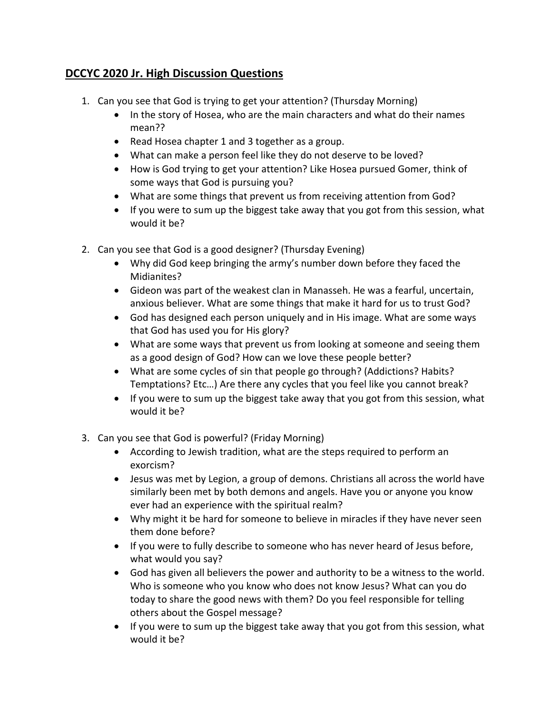## **DCCYC 2020 Jr. High Discussion Questions**

- 1. Can you see that God is trying to get your attention? (Thursday Morning)
	- In the story of Hosea, who are the main characters and what do their names mean??
	- Read Hosea chapter 1 and 3 together as a group.
	- What can make a person feel like they do not deserve to be loved?
	- How is God trying to get your attention? Like Hosea pursued Gomer, think of some ways that God is pursuing you?
	- What are some things that prevent us from receiving attention from God?
	- If you were to sum up the biggest take away that you got from this session, what would it be?
- 2. Can you see that God is a good designer? (Thursday Evening)
	- Why did God keep bringing the army's number down before they faced the Midianites?
	- Gideon was part of the weakest clan in Manasseh. He was a fearful, uncertain, anxious believer. What are some things that make it hard for us to trust God?
	- God has designed each person uniquely and in His image. What are some ways that God has used you for His glory?
	- What are some ways that prevent us from looking at someone and seeing them as a good design of God? How can we love these people better?
	- What are some cycles of sin that people go through? (Addictions? Habits? Temptations? Etc…) Are there any cycles that you feel like you cannot break?
	- If you were to sum up the biggest take away that you got from this session, what would it be?
- 3. Can you see that God is powerful? (Friday Morning)
	- According to Jewish tradition, what are the steps required to perform an exorcism?
	- Jesus was met by Legion, a group of demons. Christians all across the world have similarly been met by both demons and angels. Have you or anyone you know ever had an experience with the spiritual realm?
	- Why might it be hard for someone to believe in miracles if they have never seen them done before?
	- If you were to fully describe to someone who has never heard of Jesus before, what would you say?
	- God has given all believers the power and authority to be a witness to the world. Who is someone who you know who does not know Jesus? What can you do today to share the good news with them? Do you feel responsible for telling others about the Gospel message?
	- If you were to sum up the biggest take away that you got from this session, what would it be?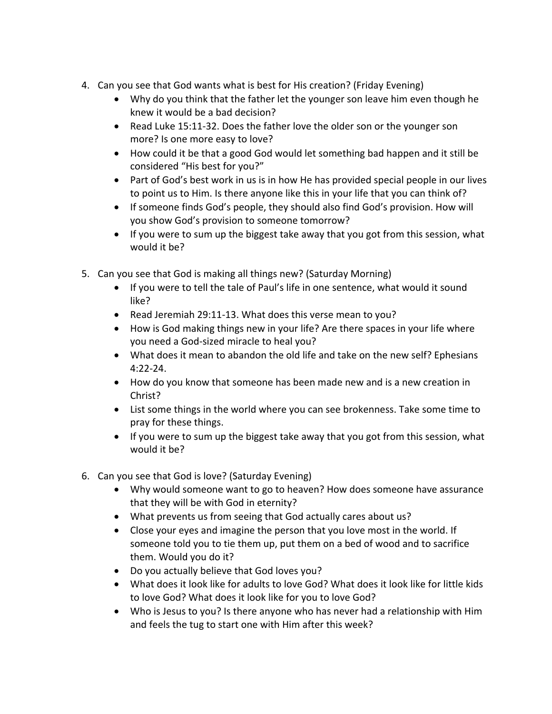- 4. Can you see that God wants what is best for His creation? (Friday Evening)
	- Why do you think that the father let the younger son leave him even though he knew it would be a bad decision?
	- Read Luke 15:11-32. Does the father love the older son or the younger son more? Is one more easy to love?
	- How could it be that a good God would let something bad happen and it still be considered "His best for you?"
	- Part of God's best work in us is in how He has provided special people in our lives to point us to Him. Is there anyone like this in your life that you can think of?
	- If someone finds God's people, they should also find God's provision. How will you show God's provision to someone tomorrow?
	- If you were to sum up the biggest take away that you got from this session, what would it be?
- 5. Can you see that God is making all things new? (Saturday Morning)
	- If you were to tell the tale of Paul's life in one sentence, what would it sound like?
	- Read Jeremiah 29:11-13. What does this verse mean to you?
	- How is God making things new in your life? Are there spaces in your life where you need a God-sized miracle to heal you?
	- What does it mean to abandon the old life and take on the new self? Ephesians 4:22-24.
	- How do you know that someone has been made new and is a new creation in Christ?
	- List some things in the world where you can see brokenness. Take some time to pray for these things.
	- If you were to sum up the biggest take away that you got from this session, what would it be?
- 6. Can you see that God is love? (Saturday Evening)
	- Why would someone want to go to heaven? How does someone have assurance that they will be with God in eternity?
	- What prevents us from seeing that God actually cares about us?
	- Close your eyes and imagine the person that you love most in the world. If someone told you to tie them up, put them on a bed of wood and to sacrifice them. Would you do it?
	- Do you actually believe that God loves you?
	- What does it look like for adults to love God? What does it look like for little kids to love God? What does it look like for you to love God?
	- Who is Jesus to you? Is there anyone who has never had a relationship with Him and feels the tug to start one with Him after this week?